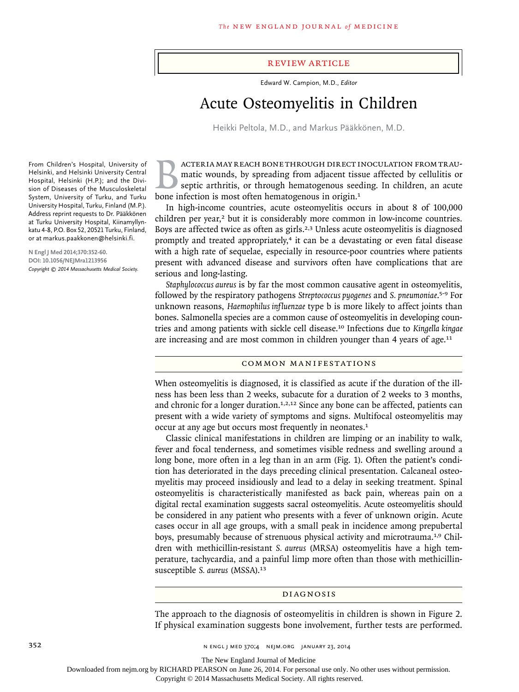#### review article

Edward W. Campion, M.D., *Editor*

# Acute Osteomyelitis in Children

Heikki Peltola, M.D., and Markus Pääkkönen, M.D.

BACTERIA MAY REACH BONE THROUGH DIRECT INOCULATION FROM TRAU-<br>matic wounds, by spreading from adjacent tissue affected by cellulitis or<br>septic arthritis, or through hematogenous seeding. In children, an acute<br>bone infectio matic wounds, by spreading from adjacent tissue affected by cellulitis or septic arthritis, or through hematogenous seeding. In children, an acute bone infection is most often hematogenous in origin.<sup>1</sup>

In high-income countries, acute osteomyelitis occurs in about 8 of 100,000 children per year,<sup>2</sup> but it is considerably more common in low-income countries. Boys are affected twice as often as girls.<sup>2,3</sup> Unless acute osteomyelitis is diagnosed promptly and treated appropriately,<sup>4</sup> it can be a devastating or even fatal disease with a high rate of sequelae, especially in resource-poor countries where patients present with advanced disease and survivors often have complications that are serious and long-lasting.

*Staphylococcus aureus* is by far the most common causative agent in osteomyelitis, followed by the respiratory pathogens *Streptococcus pyogenes* and *S. pneumoniae*. 5-9 For unknown reasons, *Haemophilus influenzae* type b is more likely to affect joints than bones. Salmonella species are a common cause of osteomyelitis in developing countries and among patients with sickle cell disease.10 Infections due to *Kingella kingae* are increasing and are most common in children younger than 4 years of age.<sup>11</sup>

### Common Manifestations

When osteomyelitis is diagnosed, it is classified as acute if the duration of the illness has been less than 2 weeks, subacute for a duration of 2 weeks to 3 months, and chronic for a longer duration.<sup>1,2,12</sup> Since any bone can be affected, patients can present with a wide variety of symptoms and signs. Multifocal osteomyelitis may occur at any age but occurs most frequently in neonates.<sup>1</sup>

Classic clinical manifestations in children are limping or an inability to walk, fever and focal tenderness, and sometimes visible redness and swelling around a long bone, more often in a leg than in an arm (Fig. 1). Often the patient's condition has deteriorated in the days preceding clinical presentation. Calcaneal osteomyelitis may proceed insidiously and lead to a delay in seeking treatment. Spinal osteomyelitis is characteristically manifested as back pain, whereas pain on a digital rectal examination suggests sacral osteomyelitis. Acute osteomyelitis should be considered in any patient who presents with a fever of unknown origin. Acute cases occur in all age groups, with a small peak in incidence among prepubertal boys, presumably because of strenuous physical activity and microtrauma.1,9 Children with methicillin-resistant *S. aureus* (MRSA) osteomyelitis have a high temperature, tachycardia, and a painful limp more often than those with methicillinsusceptible *S. aureus* (MSSA).<sup>13</sup>

#### Diagnosis

The approach to the diagnosis of osteomyelitis in children is shown in Figure 2. If physical examination suggests bone involvement, further tests are performed.

From Children's Hospital, University of Helsinki, and Helsinki University Central Hospital, Helsinki (H.P.); and the Division of Diseases of the Musculoskeletal System, University of Turku, and Turku University Hospital, Turku, Finland (M.P.). Address reprint requests to Dr. Pääkkönen at Turku University Hospital, Kiinamyllynkatu 4-8, P.O. Box 52, 20521 Turku, Finland, or at markus.paakkonen@helsinki.fi.

**N Engl J Med 2014;370:352-60. DOI: 10.1056/NEJMra1213956** *Copyright © 2014 Massachusetts Medical Society.*

The New England Journal of Medicine

Downloaded from nejm.org by RICHARD PEARSON on June 26, 2014. For personal use only. No other uses without permission.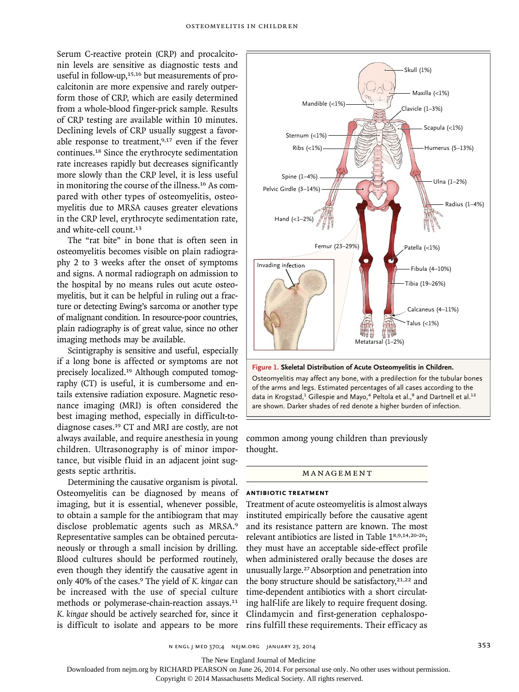Serum C-reactive protein (CRP) and procalcitonin levels are sensitive as diagnostic tests and useful in follow-up, $15,16$  but measurements of procalcitonin are more expensive and rarely outperform those of CRP, which are easily determined from a whole-blood finger-prick sample. Results of CRP testing are available within 10 minutes. Declining levels of CRP usually suggest a favorable response to treatment,<sup>9,17</sup> even if the fever continues.<sup>18</sup> Since the erythrocyte sedimentation rate increases rapidly but decreases significantly more slowly than the CRP level, it is less useful in monitoring the course of the illness.16 As compared with other types of osteomyelitis, osteomyelitis due to MRSA causes greater elevations in the CRP level, erythrocyte sedimentation rate, and white-cell count.<sup>13</sup>

The "rat bite" in bone that is often seen in osteomyelitis becomes visible on plain radiography 2 to 3 weeks after the onset of symptoms and signs. A normal radiograph on admission to the hospital by no means rules out acute osteomyelitis, but it can be helpful in ruling out a fracture or detecting Ewing's sarcoma or another type of malignant condition. In resource-poor countries, plain radiography is of great value, since no other imaging methods may be available.

Scintigraphy is sensitive and useful, especially if a long bone is affected or symptoms are not precisely localized.19 Although computed tomography (CT) is useful, it is cumbersome and entails extensive radiation exposure. Magnetic resonance imaging (MRI) is often considered the best imaging method, especially in difficult-todiagnose cases.19 CT and MRI are costly, are not always available, and require anesthesia in young children. Ultrasonography is of minor importance, but visible fluid in an adjacent joint suggests septic arthritis.

Determining the causative organism is pivotal. Osteomyelitis can be diagnosed by means of imaging, but it is essential, whenever possible, to obtain a sample for the antibiogram that may disclose problematic agents such as MRSA.<sup>9</sup> Representative samples can be obtained percutaneously or through a small incision by drilling. Blood cultures should be performed routinely, even though they identify the causative agent in only 40% of the cases.9 The yield of *K. kingae* can be increased with the use of special culture methods or polymerase-chain-reaction assays.<sup>11</sup> *K. kingae* should be actively searched for, since it is difficult to isolate and appears to be more



are shown. Darker shades of red denote a higher burden of infection.  $1117$ 11., a  $\frac{1}{2}$ data in Krogstad, $^1$  Gillespie and Mayo, $^4$  Peltola et al., $^9$  and Dartnell et al. $^{12}$ of the arms and legs. Estimated percentages of all cases according to the

 $\mathbf{r}$ 

Pediatric Acute Osteomyelitis

N Koscal

Title

Issue date

common among young children than previously thought.

### **MANAGEMENT**

#### **Antibiotic Treatment**

Treatment of acute osteomyelitis is almost always instituted empirically before the causative agent and its resistance pattern are known. The most relevant antibiotics are listed in Table 18,9,14,20-26; they must have an acceptable side-effect profile when administered orally because the doses are unusually large.<sup>27</sup>Absorption and penetration into the bony structure should be satisfactory, $21,22$  and time-dependent antibiotics with a short circulating half-life are likely to require frequent dosing. Clindamycin and first-generation cephalosporins fulfill these requirements. Their efficacy as

n engl j med 370;4 nejm.org january 23, 2014 353

The New England Journal of Medicine

Downloaded from nejm.org by RICHARD PEARSON on June 26, 2014. For personal use only. No other uses without permission.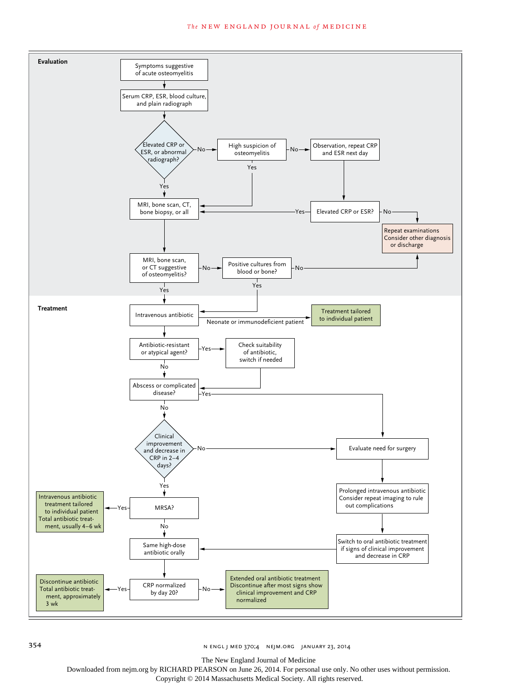#### **The NEW ENGLAND JOURNAL of MEDICINE**



354 n engl j med 370;4 nejm.org january 23, 2014

The New England Journal of Medicine

Downloaded from nejm.org by RICHARD PEARSON on June 26, 2014. For personal use only. No other uses without permission.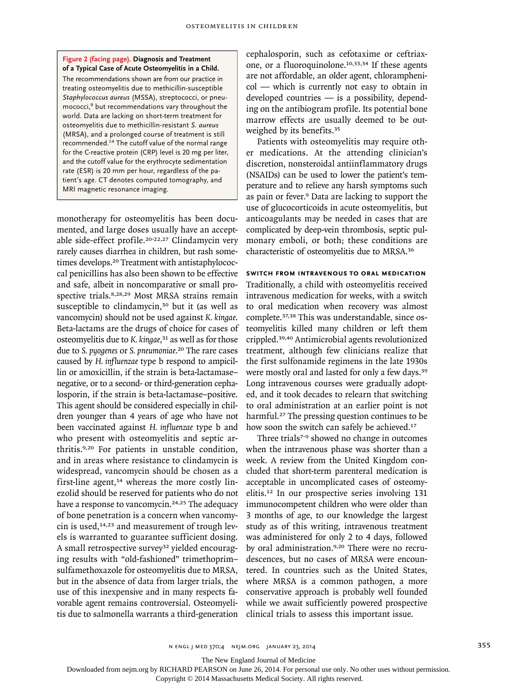#### **Figure 2 (facing page). Diagnosis and Treatment of a Typical Case of Acute Osteomyelitis in a Child.**

The recommendations shown are from our practice in treating osteomyelitis due to methicillin-susceptible *Staphylococcus aureus* (MSSA), streptococci, or pneumococci,<sup>9</sup> but recommendations vary throughout the world. Data are lacking on short-term treatment for osteomyelitis due to methicillin-resistant *S. aureus* (MRSA), and a prolonged course of treatment is still recommended.<sup>14</sup> The cutoff value of the normal range for the C-reactive protein (CRP) level is 20 mg per liter, and the cutoff value for the erythrocyte sedimentation rate (ESR) is 20 mm per hour, regardless of the patient's age. CT denotes computed tomography, and MRI magnetic resonance imaging.

monotherapy for osteomyelitis has been documented, and large doses usually have an acceptable side-effect profile.<sup>20-22,27</sup> Clindamycin very rarely causes diarrhea in children, but rash sometimes develops.<sup>20</sup> Treatment with antistaphylococcal penicillins has also been shown to be effective and safe, albeit in noncomparative or small prospective trials.8,28,29 Most MRSA strains remain susceptible to clindamycin,<sup>30</sup> but it (as well as vancomycin) should not be used against *K. kingae*. Beta-lactams are the drugs of choice for cases of osteomyelitis due to *K. kingae*, <sup>31</sup> as well as for those due to *S. pyogenes* or *S. pneumoniae*. <sup>20</sup> The rare cases caused by *H. influenzae* type b respond to ampicillin or amoxicillin, if the strain is beta-lactamase– negative, or to a second- or third-generation cephalosporin, if the strain is beta-lactamase–positive. This agent should be considered especially in children younger than 4 years of age who have not been vaccinated against *H. influenzae* type b and who present with osteomyelitis and septic arthritis.9,20 For patients in unstable condition, and in areas where resistance to clindamycin is widespread, vancomycin should be chosen as a first-line agent, $14$  whereas the more costly linezolid should be reserved for patients who do not have a response to vancomycin.<sup>24,25</sup> The adequacy of bone penetration is a concern when vancomycin is used, $14,23$  and measurement of trough levels is warranted to guarantee sufficient dosing. A small retrospective survey<sup>32</sup> yielded encouraging results with "old-fashioned" trimethoprim– sulfamethoxazole for osteomyelitis due to MRSA, but in the absence of data from larger trials, the use of this inexpensive and in many respects favorable agent remains controversial. Osteomyelitis due to salmonella warrants a third-generation

cephalosporin, such as cefotaxime or ceftriaxone, or a fluoroquinolone.10,33,34 If these agents are not affordable, an older agent, chloramphenicol — which is currently not easy to obtain in developed countries — is a possibility, depending on the antibiogram profile. Its potential bone marrow effects are usually deemed to be outweighed by its benefits.<sup>35</sup>

Patients with osteomyelitis may require other medications. At the attending clinician's discretion, nonsteroidal antiinflammatory drugs (NSAIDs) can be used to lower the patient's temperature and to relieve any harsh symptoms such as pain or fever.9 Data are lacking to support the use of glucocorticoids in acute osteomyelitis, but anticoagulants may be needed in cases that are complicated by deep-vein thrombosis, septic pulmonary emboli, or both; these conditions are characteristic of osteomyelitis due to MRSA.<sup>36</sup>

#### **Switch from Intravenous to Oral Medication**

Traditionally, a child with osteomyelitis received intravenous medication for weeks, with a switch to oral medication when recovery was almost complete.37,38 This was understandable, since osteomyelitis killed many children or left them crippled.39,40 Antimicrobial agents revolutionized treatment, although few clinicians realize that the first sulfonamide regimens in the late 1930s were mostly oral and lasted for only a few days.<sup>39</sup> Long intravenous courses were gradually adopted, and it took decades to relearn that switching to oral administration at an earlier point is not harmful.27 The pressing question continues to be how soon the switch can safely be achieved.<sup>17</sup>

Three trials<sup>7-9</sup> showed no change in outcomes when the intravenous phase was shorter than a week. A review from the United Kingdom concluded that short-term parenteral medication is acceptable in uncomplicated cases of osteomyelitis.12 In our prospective series involving 131 immunocompetent children who were older than 3 months of age, to our knowledge the largest study as of this writing, intravenous treatment was administered for only 2 to 4 days, followed by oral administration.9,20 There were no recrudescences, but no cases of MRSA were encountered. In countries such as the United States, where MRSA is a common pathogen, a more conservative approach is probably well founded while we await sufficiently powered prospective clinical trials to assess this important issue.

The New England Journal of Medicine

Downloaded from nejm.org by RICHARD PEARSON on June 26, 2014. For personal use only. No other uses without permission.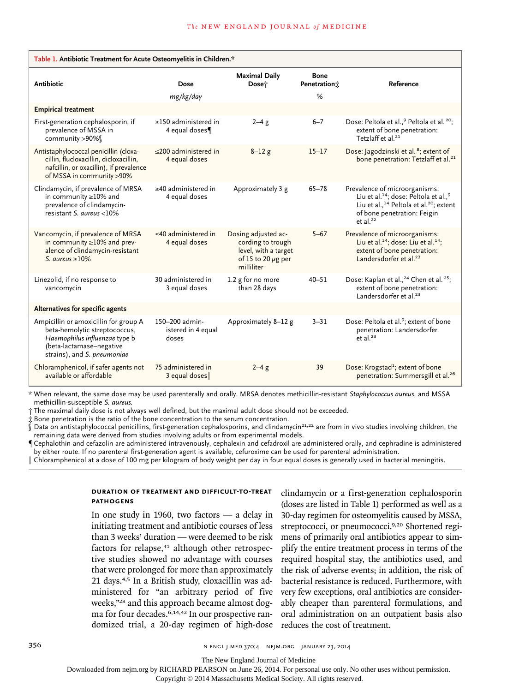| Table 1. Antibiotic Treatment for Acute Osteomyelitis in Children.*                                                                                                |                                               |                                                                                                           |                                  |                                                                                                                                                                                                                          |
|--------------------------------------------------------------------------------------------------------------------------------------------------------------------|-----------------------------------------------|-----------------------------------------------------------------------------------------------------------|----------------------------------|--------------------------------------------------------------------------------------------------------------------------------------------------------------------------------------------------------------------------|
| <b>Antibiotic</b>                                                                                                                                                  | Dose<br>mg/kg/day                             | <b>Maximal Daily</b><br>Dose†                                                                             | <b>Bone</b><br>Penetration;<br>% | Reference                                                                                                                                                                                                                |
| <b>Empirical treatment</b>                                                                                                                                         |                                               |                                                                                                           |                                  |                                                                                                                                                                                                                          |
| First-generation cephalosporin, if<br>prevalence of MSSA in<br>community >90%                                                                                      | $\geq$ 150 administered in<br>4 equal doses   | $2-4$ g                                                                                                   | $6 - 7$                          | Dose: Peltola et al., <sup>9</sup> Peltola et al. <sup>20</sup> ;<br>extent of bone penetration:<br>Tetzlaff et al. <sup>21</sup>                                                                                        |
| Antistaphylococcal penicillin (cloxa-<br>cillin, flucloxacillin, dicloxacillin,<br>nafcillin, or oxacillin), if prevalence<br>of MSSA in community >90%            | $\leq$ 200 administered in<br>4 equal doses   | $8 - 12g$                                                                                                 | $15 - 17$                        | Dose: Jagodzinski et al. <sup>8</sup> ; extent of<br>bone penetration: Tetzlaff et al. <sup>21</sup>                                                                                                                     |
| Clindamycin, if prevalence of MRSA<br>in community ≥10% and<br>prevalence of clindamycin-<br>resistant S. aureus <10%                                              | $\geq$ 40 administered in<br>4 equal doses    | Approximately 3 g                                                                                         | $65 - 78$                        | Prevalence of microorganisms:<br>Liu et al. <sup>14</sup> ; dose: Peltola et al., <sup>9</sup><br>Liu et al., <sup>14</sup> Peltola et al. <sup>20</sup> ; extent<br>of bone penetration: Feigin<br>et al. <sup>22</sup> |
| Vancomycin, if prevalence of MRSA<br>in community ≥10% and prev-<br>alence of clindamycin-resistant<br>S. aureus $\geq 10\%$                                       | $\leq$ 40 administered in<br>4 equal doses    | Dosing adjusted ac-<br>cording to trough<br>level, with a target<br>of 15 to 20 $\mu$ g per<br>milliliter | $5 - 67$                         | Prevalence of microorganisms:<br>Liu et al. <sup>14</sup> ; dose: Liu et al. <sup>14</sup> ;<br>extent of bone penetration:<br>Landersdorfer et al. <sup>23</sup>                                                        |
| Linezolid, if no response to<br>vancomycin                                                                                                                         | 30 administered in<br>3 equal doses           | 1.2 g for no more<br>than 28 days                                                                         | $40 - 51$                        | Dose: Kaplan et al., <sup>24</sup> Chen et al. <sup>25</sup> ;<br>extent of bone penetration:<br>Landersdorfer et al. <sup>23</sup>                                                                                      |
| Alternatives for specific agents                                                                                                                                   |                                               |                                                                                                           |                                  |                                                                                                                                                                                                                          |
| Ampicillin or amoxicillin for group A<br>beta-hemolytic streptococcus,<br>Haemophilus influenzae type b<br>(beta-lactamase-negative<br>strains), and S. pneumoniae | 150-200 admin-<br>istered in 4 equal<br>doses | Approximately 8-12 g                                                                                      | $3 - 31$                         | Dose: Peltola et al. <sup>9</sup> ; extent of bone<br>penetration: Landersdorfer<br>et al. $23$                                                                                                                          |
| Chloramphenicol, if safer agents not<br>available or affordable                                                                                                    | 75 administered in<br>3 equal doses           | $2-4$ g                                                                                                   | 39                               | Dose: Krogstad <sup>1</sup> ; extent of bone<br>penetration: Summersgill et al. <sup>26</sup>                                                                                                                            |

\* When relevant, the same dose may be used parenterally and orally. MRSA denotes methicillin-resistant *Staphylococcus aureus*, and MSSA methicillin-susceptible *S. aureus.*

† The maximal daily dose is not always well defined, but the maximal adult dose should not be exceeded.

‡ Bone penetration is the ratio of the bone concentration to the serum concentration.

 $\hat{\S}$  Data on antistaphylococcal penicillins, first-generation cephalosporins, and clindamycin<sup>21,22</sup> are from in vivo studies involving children; the remaining data were derived from studies involving adults or from experimental models.

¶Cephalothin and cefazolin are administered intravenously, cephalexin and cefadroxil are administered orally, and cephradine is administered by either route. If no parenteral first-generation agent is available, cefuroxime can be used for parenteral administration.

‖ Chloramphenicol at a dose of 100 mg per kilogram of body weight per day in four equal doses is generally used in bacterial meningitis.

### **Duration of Treatment and Difficult-to-Treat Pathogens**

In one study in 1960, two factors  $-$  a delay in initiating treatment and antibiotic courses of less than 3 weeks' duration — were deemed to be risk factors for relapse,<sup>41</sup> although other retrospective studies showed no advantage with courses that were prolonged for more than approximately 21 days.4,5 In a British study, cloxacillin was administered for "an arbitrary period of five weeks,"28 and this approach became almost dogma for four decades.6,14,42 In our prospective randomized trial, a 20-day regimen of high-dose

clindamycin or a first-generation cephalosporin (doses are listed in Table 1) performed as well as a 30-day regimen for osteomyelitis caused by MSSA, streptococci, or pneumococci.9,20 Shortened regimens of primarily oral antibiotics appear to simplify the entire treatment process in terms of the required hospital stay, the antibiotics used, and the risk of adverse events; in addition, the risk of bacterial resistance is reduced. Furthermore, with very few exceptions, oral antibiotics are considerably cheaper than parenteral formulations, and oral administration on an outpatient basis also reduces the cost of treatment.

356 **120 n engl j med 370;4 nejm.org january 23, 2014** 

The New England Journal of Medicine

Downloaded from nejm.org by RICHARD PEARSON on June 26, 2014. For personal use only. No other uses without permission.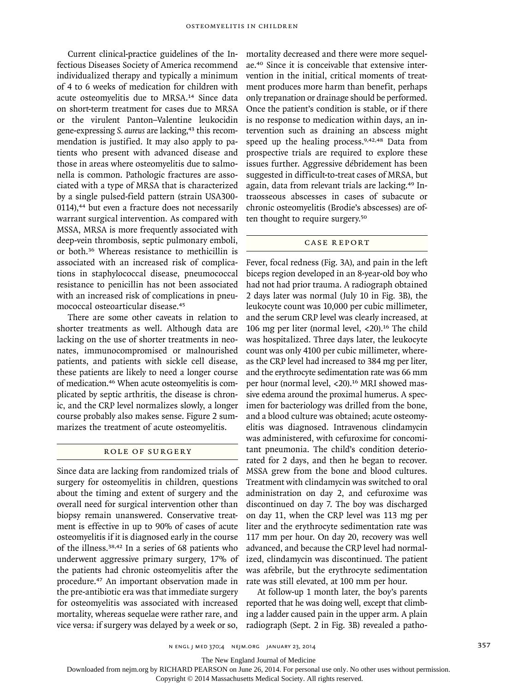Current clinical-practice guidelines of the Infectious Diseases Society of America recommend individualized therapy and typically a minimum of 4 to 6 weeks of medication for children with acute osteomyelitis due to MRSA.14 Since data on short-term treatment for cases due to MRSA or the virulent Panton–Valentine leukocidin gene-expressing *S. aureus* are lacking,43 this recommendation is justified. It may also apply to patients who present with advanced disease and those in areas where osteomyelitis due to salmonella is common. Pathologic fractures are associated with a type of MRSA that is characterized by a single pulsed-field pattern (strain USA300- 0114),<sup>44</sup> but even a fracture does not necessarily warrant surgical intervention. As compared with MSSA, MRSA is more frequently associated with deep-vein thrombosis, septic pulmonary emboli, or both.36 Whereas resistance to methicillin is associated with an increased risk of complications in staphylococcal disease, pneumococcal resistance to penicillin has not been associated with an increased risk of complications in pneumococcal osteoarticular disease.<sup>45</sup>

There are some other caveats in relation to shorter treatments as well. Although data are lacking on the use of shorter treatments in neonates, immunocompromised or malnourished patients, and patients with sickle cell disease, these patients are likely to need a longer course of medication.46 When acute osteomyelitis is complicated by septic arthritis, the disease is chronic, and the CRP level normalizes slowly, a longer course probably also makes sense. Figure 2 summarizes the treatment of acute osteomyelitis.

## Role of Surgery

Since data are lacking from randomized trials of surgery for osteomyelitis in children, questions about the timing and extent of surgery and the overall need for surgical intervention other than biopsy remain unanswered. Conservative treatment is effective in up to 90% of cases of acute osteomyelitis if it is diagnosed early in the course of the illness.38,42 In a series of 68 patients who underwent aggressive primary surgery, 17% of the patients had chronic osteomyelitis after the procedure.<sup>47</sup> An important observation made in the pre-antibiotic era was that immediate surgery for osteomyelitis was associated with increased mortality, whereas sequelae were rather rare, and vice versa: if surgery was delayed by a week or so,

mortality decreased and there were more sequelae.40 Since it is conceivable that extensive intervention in the initial, critical moments of treatment produces more harm than benefit, perhaps only trepanation or drainage should be performed. Once the patient's condition is stable, or if there is no response to medication within days, an intervention such as draining an abscess might speed up the healing process.<sup>9,42,48</sup> Data from prospective trials are required to explore these issues further. Aggressive débridement has been suggested in difficult-to-treat cases of MRSA, but again, data from relevant trials are lacking.<sup>49</sup> Intraosseous abscesses in cases of subacute or chronic osteomyelitis (Brodie's abscesses) are often thought to require surgery.<sup>50</sup>

## Case Report

Fever, focal redness (Fig. 3A), and pain in the left biceps region developed in an 8-year-old boy who had not had prior trauma. A radiograph obtained 2 days later was normal (July 10 in Fig. 3B), the leukocyte count was 10,000 per cubic millimeter, and the serum CRP level was clearly increased, at 106 mg per liter (normal level, <20).<sup>16</sup> The child was hospitalized. Three days later, the leukocyte count was only 4100 per cubic millimeter, whereas the CRP level had increased to 384 mg per liter, and the erythrocyte sedimentation rate was 66 mm per hour (normal level, <20).<sup>16</sup> MRI showed massive edema around the proximal humerus. A specimen for bacteriology was drilled from the bone, and a blood culture was obtained; acute osteomyelitis was diagnosed. Intravenous clindamycin was administered, with cefuroxime for concomitant pneumonia. The child's condition deteriorated for 2 days, and then he began to recover. MSSA grew from the bone and blood cultures. Treatment with clindamycin was switched to oral administration on day 2, and cefuroxime was discontinued on day 7. The boy was discharged on day 11, when the CRP level was 113 mg per liter and the erythrocyte sedimentation rate was 117 mm per hour. On day 20, recovery was well advanced, and because the CRP level had normalized, clindamycin was discontinued. The patient was afebrile, but the erythrocyte sedimentation rate was still elevated, at 100 mm per hour.

At follow-up 1 month later, the boy's parents reported that he was doing well, except that climbing a ladder caused pain in the upper arm. A plain radiograph (Sept. 2 in Fig. 3B) revealed a patho-

The New England Journal of Medicine

Downloaded from nejm.org by RICHARD PEARSON on June 26, 2014. For personal use only. No other uses without permission.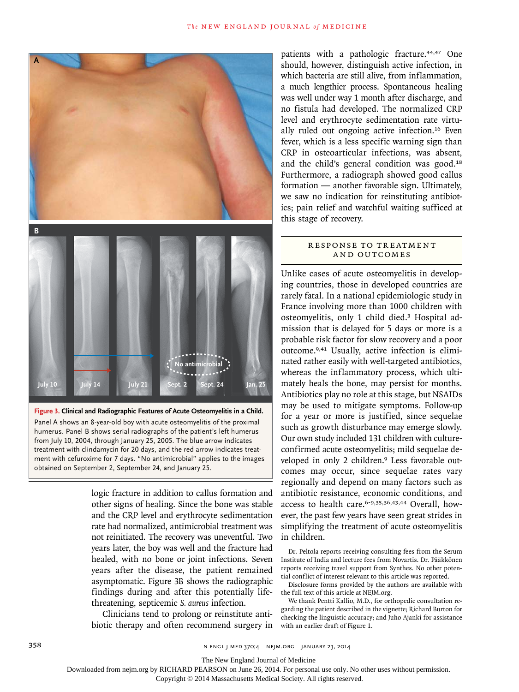

**Figure 3. Clinical and Radiographic Features of Acute Osteomyelitis in a Child.** Panel A shows an 8-year-old boy with acute osteomyelitis of the proximal humerus. Panel B shows serial radiographs of the patient's left humerus from July 10, 2004, through January 25, 2005. The blue arrow indicates treatment with clindamycin for 20 days, and the red arrow indicates treatment with cefuroxime for 7 days. "No antimicrobial" applies to the images obtained on September 2, September 24, and January 25.

> logic fracture in addition to callus formation and other signs of healing. Since the bone was stable and the CRP level and erythrocyte sedimentation rate had normalized, antimicrobial treatment was not reinitiated. The recovery was uneventful. Two years later, the boy was well and the fracture had healed, with no bone or joint infections. Seven years after the disease, the patient remained asymptomatic. Figure 3B shows the radiographic findings during and after this potentially lifethreatening, septicemic *S. aureus* infection.

> Clinicians tend to prolong or reinstitute antibiotic therapy and often recommend surgery in

patients with a pathologic fracture.<sup>44,47</sup> One should, however, distinguish active infection, in which bacteria are still alive, from inflammation, a much lengthier process. Spontaneous healing was well under way 1 month after discharge, and no fistula had developed. The normalized CRP level and erythrocyte sedimentation rate virtually ruled out ongoing active infection.16 Even fever, which is a less specific warning sign than CRP in osteoarticular infections, was absent, and the child's general condition was good.<sup>18</sup> Furthermore, a radiograph showed good callus formation — another favorable sign. Ultimately, we saw no indication for reinstituting antibiotics; pain relief and watchful waiting sufficed at this stage of recovery.

## R ESPONSE TO TREATMENT and Outcomes

Unlike cases of acute osteomyelitis in developing countries, those in developed countries are rarely fatal. In a national epidemiologic study in France involving more than 1000 children with osteomyelitis, only 1 child died.3 Hospital admission that is delayed for 5 days or more is a probable risk factor for slow recovery and a poor outcome.9,41 Usually, active infection is eliminated rather easily with well-targeted antibiotics, whereas the inflammatory process, which ultimately heals the bone, may persist for months. Antibiotics play no role at this stage, but NSAIDs may be used to mitigate symptoms. Follow-up for a year or more is justified, since sequelae such as growth disturbance may emerge slowly. Our own study included 131 children with cultureconfirmed acute osteomyelitis; mild sequelae developed in only 2 children.<sup>9</sup> Less favorable outcomes may occur, since sequelae rates vary regionally and depend on many factors such as antibiotic resistance, economic conditions, and access to health care.<sup>6-9,35,36,43,44</sup> Overall, however, the past few years have seen great strides in simplifying the treatment of acute osteomyelitis in children.

Dr. Peltola reports receiving consulting fees from the Serum Institute of India and lecture fees from Novartis. Dr. Pääkkönen reports receiving travel support from Synthes. No other potential conflict of interest relevant to this article was reported.

Disclosure forms provided by the authors are available with the full text of this article at NEJM.org.

We thank Pentti Kallio, M.D., for orthopedic consultation regarding the patient described in the vignette; Richard Burton for checking the linguistic accuracy; and Juho Ajanki for assistance with an earlier draft of Figure 1.

358 **N ENGL J MED 370;4 NEIM.ORG JANUARY 23, 2014** 

The New England Journal of Medicine

Downloaded from nejm.org by RICHARD PEARSON on June 26, 2014. For personal use only. No other uses without permission.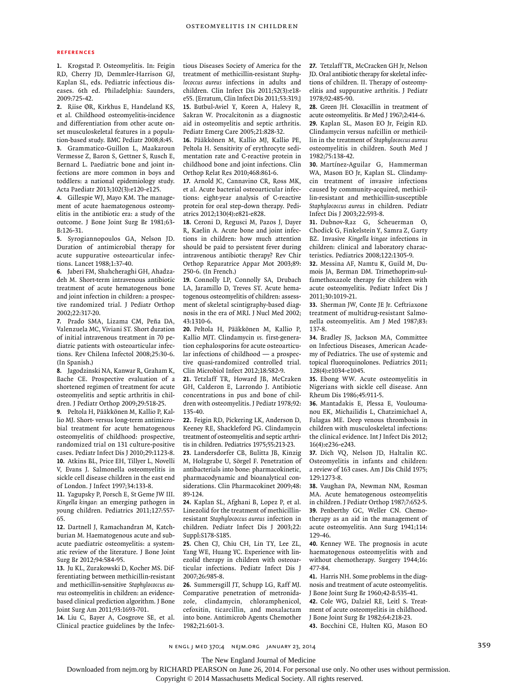#### **References**

**1.** Krogstad P. Osteomyelitis. In: Feigin RD, Cherry JD, Demmler-Harrison GJ, Kaplan SL, eds. Pediatric infectious diseases. 6th ed. Philadelphia: Saunders, 2009:725-42.

**2.** Riise ØR, Kirkhus E, Handeland KS, et al. Childhood osteomyelitis-incidence and differentiation from other acute onset musculoskeletal features in a population-based study. BMC Pediatr 2008;8:45. **3.** Grammatico-Guillon L, Maakaroun Vermesse Z, Baron S, Gettner S, Rusch E, Bernard L. Paediatric bone and joint infections are more common in boys and

toddlers: a national epidemiology study. Acta Paediatr 2013;102(3):e120-e125. **4.** Gillespie WJ, Mayo KM. The manage-

ment of acute haematogenous osteomyelitis in the antibiotic era: a study of the outcome. J Bone Joint Surg Br 1981;63- B:126-31.

**5.** Syrogiannopoulos GA, Nelson JD. Duration of antimicrobial therapy for acute suppurative osteoarticular infections. Lancet 1988;1:37-40.

**6.** Jaberi FM, Shahcheraghi GH, Ahadzadeh M. Short-term intravenous antibiotic treatment of acute hematogenous bone and joint infection in children: a prospective randomized trial. J Pediatr Orthop 2002;22:317-20.

**7.** Prado SMA, Lizama CM, Peña DA, Valenzuela MC, Viviani ST. Short duration of initial intravenous treatment in 70 pediatric patients with osteoarticular infections. Rev Chilena Infectol 2008;25:30-6. (In Spanish.)

**8.** Jagodzinski NA, Kanwar R, Graham K, Bache CE. Prospective evaluation of a shortened regimen of treatment for acute osteomyelitis and septic arthritis in children. J Pediatr Orthop 2009;29:518-25.

**9.** Peltola H, Pääkkönen M, Kallio P, Kallio MJ. Short- versus long-term antimicrobial treatment for acute hematogenous osteomyelitis of childhood: prospective, randomized trial on 131 culture-positive cases. Pediatr Infect Dis J 2010;29:1123-8. **10.** Atkins BL, Price EH, Tillyer L, Novelli V, Evans J. Salmonella osteomyelitis in sickle cell disease children in the east end of London. J Infect 1997;34:133-8.

**11.** Yagupsky P, Porsch E, St Geme JW III. *Kingella kingae*: an emerging pathogen in young children. Pediatrics 2011;127:557- 65.

**12.** Dartnell J, Ramachandran M, Katchburian M. Haematogenous acute and subacute paediatric osteomyelitis: a systematic review of the literature. J Bone Joint Surg Br 2012;94:584-95.

**13.** Ju KL, Zurakowski D, Kocher MS. Differentiating between methicillin-resistant and methicillin-sensitive *Staphylococcus aureus* osteomyelitis in children: an evidencebased clinical prediction algorithm. J Bone Joint Surg Am 2011;93:1693-701.

**14.** Liu C, Bayer A, Cosgrove SE, et al. Clinical practice guidelines by the Infec-

tious Diseases Society of America for the treatment of methicillin-resistant *Staphylococcus aureus* infections in adults and children. Clin Infect Dis 2011;52(3):e18 e55. [Erratum, Clin Infect Dis 2011;53:319.] **15.** Butbul-Aviel Y, Koren A, Halevy R, Sakran W. Procalcitonin as a diagnostic aid in osteomyelitis and septic arthritis. Pediatr Emerg Care 2005;21:828-32.

**16.** Pääkkönen M, Kallio MJ, Kallio PE, Peltola H. Sensitivity of erythrocyte sedimentation rate and C-reactive protein in childhood bone and joint infections. Clin Orthop Relat Res 2010;468:861-6.

**17.** Arnold JC, Cannavino CR, Ross MK, et al. Acute bacterial osteoarticular infections: eight-year analysis of C-reactive protein for oral step-down therapy. Pediatrics 2012;130(4):e821-e828.

**18.** Ceroni D, Regusci M, Pazos J, Dayer R, Kaelin A. Acute bone and joint infections in children: how much attention should be paid to persistent fever during intravenous antibiotic therapy? Rev Chir Orthop Reparatrice Appar Mot 2003;89: 250-6. (In French.)

**19.** Connolly LP, Connolly SA, Drubach LA, Jaramillo D, Treves ST. Acute hematogenous osteomyelitis of children: assessment of skeletal scintigraphy-based diagnosis in the era of MRI. J Nucl Med 2002; 43:1310-6.

**20.** Peltola H, Pääkkönen M, Kallio P, Kallio MJT. Clindamycin *vs.* first-generation cephalosporins for acute osteoarticular infections of childhood — a prospective quasi-randomized controlled trial. Clin Microbiol Infect 2012;18:582-9.

**21.** Tetzlaff TR, Howard JB, McCraken GH, Calderon E, Larrondo J. Antibiotic concentrations in pus and bone of children with osteomyelitis. J Pediatr 1978;92: 135-40.

**22.** Feigin RD, Pickering LK, Anderson D, Keeney RE, Shackleford PG. Clindamycin treatment of osteomyelitis and septic arthritis in children. Pediatrics 1975;55:213-23.

**23.** Landersdorfer CB, Bulitta JB, Kinzig M, Holzgrabe U, Sörgel F. Penetration of antibacterials into bone: pharmacokinetic, pharmacodynamic and bioanalytical considerations. Clin Pharmacokinet 2009;48: 89-124.

**24.** Kaplan SL, Afghani B, Lopez P, et al. Linezolid for the treatment of methicillinresistant *Staphylococcus aureus* infection in children. Pediatr Infect Dis J 2003;22: Suppl:S178-S185.

**25.** Chen CJ, Chiu CH, Lin TY, Lee ZL, Yang WE, Huang YC. Experience with linezolid therapy in children with osteoarticular infections. Pediatr Infect Dis J 2007;26:985-8.

**26.** Summersgill JT, Schupp LG, Raff MJ. Comparative penetration of metronidazole, clindamycin, chloramphenicol, cefoxitin, ticarcillin, and moxalactam into bone. Antimicrob Agents Chemother 1982;21:601-3.

**27.** Tetzlaff TR, McCracken GH Jr, Nelson JD. Oral antibiotic therapy for skeletal infections of children. II. Therapy of osteomyelitis and suppurative arthritis. J Pediatr 1978;92:485-90.

**28.** Green JH. Cloxacillin in treatment of acute osteomyelitis. Br Med J 1967;2:414-6. **29.** Kaplan SL, Mason EO Jr, Feigin RD. Clindamycin versus nafcillin or methicillin in the treatment of *Staphylococcus aureus* osteomyelitis in children. South Med J 1982;75:138-42.

**30.** Martínez-Aguilar G, Hammerman WA, Mason EO Jr, Kaplan SL. Clindamycin treatment of invasive infections caused by community-acquired, methicillin-resistant and methicillin-susceptible *Staphylococcus aureus* in children. Pediatr Infect Dis J 2003;22:593-8.

**31.** Dubnov-Raz G, Scheuerman O, Chodick G, Finkelstein Y, Samra Z, Garty BZ. Invasive *Kingella kingae* infections in children: clinical and laboratory characteristics. Pediatrics 2008;122:1305-9.

**32.** Messina AF, Namtu K, Guild M, Dumois JA, Berman DM. Trimethoprim-sulfamethoxazole therapy for children with acute osteomyelitis. Pediatr Infect Dis J 2011;30:1019-21.

**33.** Sherman JW, Conte JE Jr. Ceftriaxone treatment of multidrug-resistant Salmonella osteomyelitis. Am J Med 1987;83: 137-8.

**34.** Bradley JS, Jackson MA, Committee on Infectious Diseases, American Academy of Pediatrics. The use of systemic and topical fluoroquinolones. Pediatrics 2011; 128(4):e1034-e1045.

**35.** Ebong WW. Acute osteomyelitis in Nigerians with sickle cell disease. Ann Rheum Dis 1986;45:911-5.

**36.** Mantadakis E, Plessa E, Vouloumanou EK, Michailidis L, Chatzimichael A, Falagas ME. Deep venous thrombosis in children with musculoskeletal infections: the clinical evidence. Int J Infect Dis 2012; 16(4):e236-e243.

**37.** Dich VQ, Nelson JD, Haltalin KC. Osteomyelitis in infants and children: a review of 163 cases. Am J Dis Child 1975; 129:1273-8.

**38.** Vaughan PA, Newman NM, Rosman MA. Acute hematogenous osteomyelitis in children. J Pediatr Orthop 1987;7:652-5. **39.** Penberthy GC, Weller CN. Chemotherapy as an aid in the management of acute osteomyelitis. Ann Surg 1941;114: 129-46.

**40.** Kenney WE. The prognosis in acute haematogenous osteomyelitis with and without chemotherapy. Surgery 1944;16: 477-84.

**41.** Harris NH. Some problems in the diagnosis and treatment of acute osteomyelitis. J Bone Joint Surg Br 1960;42-B:535-41.

**42.** Cole WG, Dalziel RE, Leitl S. Treatment of acute osteomyelitis in childhood. J Bone Joint Surg Br 1982;64:218-23.

**43.** Bocchini CE, Hulten KG, Mason EO

n engl j med 370;4 nejm.org january 23, 2014 359

The New England Journal of Medicine

Downloaded from nejm.org by RICHARD PEARSON on June 26, 2014. For personal use only. No other uses without permission.